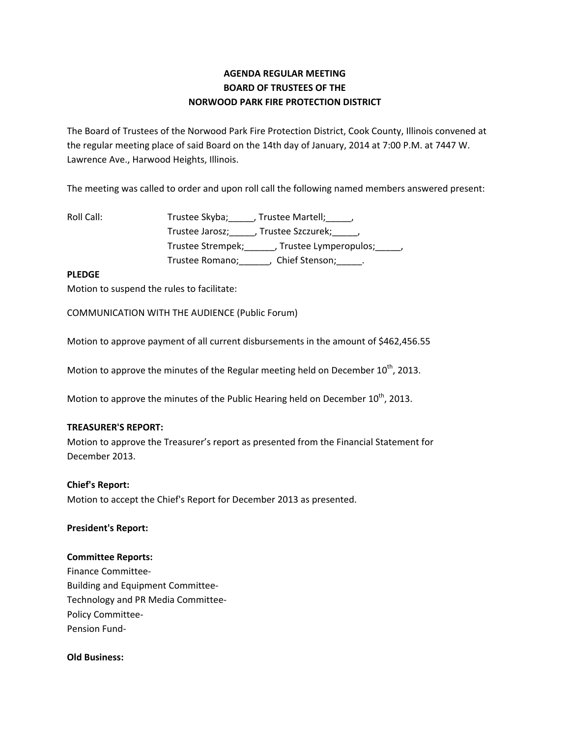# **AGENDA REGULAR MEETING BOARD OF TRUSTEES OF THE NORWOOD PARK FIRE PROTECTION DISTRICT**

The Board of Trustees of the Norwood Park Fire Protection District, Cook County, Illinois convened at the regular meeting place of said Board on the 14th day of January, 2014 at 7:00 P.M. at 7447 W. Lawrence Ave., Harwood Heights, Illinois.

The meeting was called to order and upon roll call the following named members answered present:

Roll Call: Trustee Skyba; Frustee Martell; Trustee Jarosz; J. Trustee Szczurek; J. Trustee Strempek;\_\_\_\_\_\_, Trustee Lymperopulos;\_\_\_\_\_, Trustee Romano; \_\_\_\_\_\_, Chief Stenson; \_\_\_\_\_.

## **PLEDGE**

Motion to suspend the rules to facilitate:

COMMUNICATION WITH THE AUDIENCE (Public Forum)

Motion to approve payment of all current disbursements in the amount of \$462,456.55

Motion to approve the minutes of the Regular meeting held on December  $10^{th}$ , 2013.

Motion to approve the minutes of the Public Hearing held on December  $10^{\text{th}}$ , 2013.

### **TREASURER'S REPORT:**

Motion to approve the Treasurer's report as presented from the Financial Statement for December 2013.

### **Chief's Report:**

Motion to accept the Chief's Report for December 2013 as presented.

### **President's Report:**

### **Committee Reports:**

Finance Committee‐ Building and Equipment Committee‐ Technology and PR Media Committee‐ Policy Committee‐ Pension Fund‐

### **Old Business:**